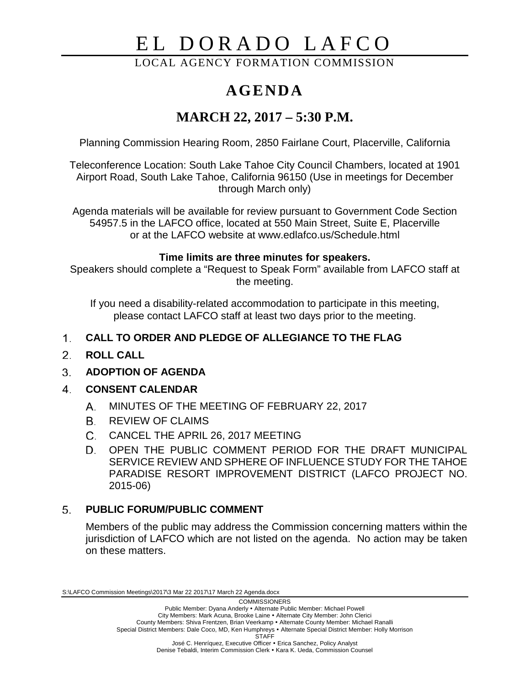# EL DORADO LAFCO

LOCAL AGENCY FORMATION COMMISSION

# **AGENDA**

## **MARCH 22, 2017 – 5:30 P.M.**

Planning Commission Hearing Room, 2850 Fairlane Court, Placerville, California

Teleconference Location: South Lake Tahoe City Council Chambers, located at 1901 Airport Road, South Lake Tahoe, California 96150 (Use in meetings for December through March only)

Agenda materials will be available for review pursuant to Government Code Section 54957.5 in the LAFCO office, located at 550 Main Street, Suite E, Placerville or at the LAFCO website at www.edlafco.us/Schedule.html

### **Time limits are three minutes for speakers.**

Speakers should complete a "Request to Speak Form" available from LAFCO staff at the meeting.

If you need a disability-related accommodation to participate in this meeting, please contact LAFCO staff at least two days prior to the meeting.

#### $1<sup>1</sup>$ **CALL TO ORDER AND PLEDGE OF ALLEGIANCE TO THE FLAG**

- 2. **ROLL CALL**
- $3<sub>1</sub>$ **ADOPTION OF AGENDA**
- 4. **CONSENT CALENDAR**
	- A. MINUTES OF THE MEETING OF FEBRUARY 22, 2017
	- REVIEW OF CLAIMS
	- C. CANCEL THE APRIL 26, 2017 MEETING
	- D. OPEN THE PUBLIC COMMENT PERIOD FOR THE DRAFT MUNICIPAL SERVICE REVIEW AND SPHERE OF INFLUENCE STUDY FOR THE TAHOE PARADISE RESORT IMPROVEMENT DISTRICT (LAFCO PROJECT NO. 2015-06)

#### $5<sub>1</sub>$ **PUBLIC FORUM/PUBLIC COMMENT**

Members of the public may address the Commission concerning matters within the jurisdiction of LAFCO which are not listed on the agenda. No action may be taken on these matters.

S:\LAFCO Commission Meetings\2017\3 Mar 22 2017\17 March 22 Agenda.docx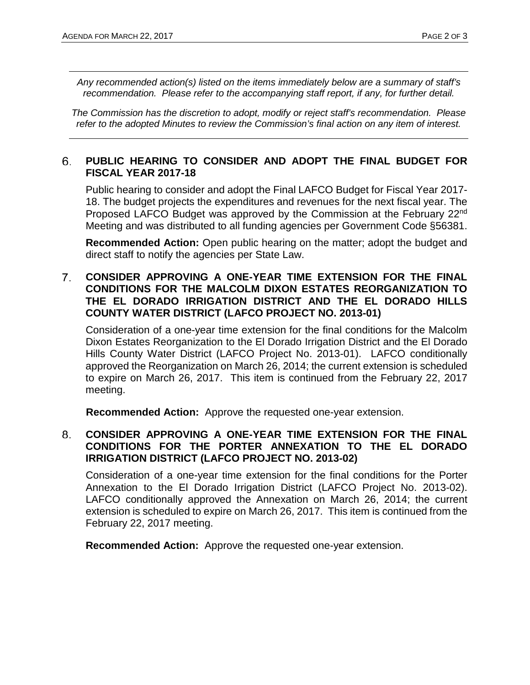*Any recommended action(s) listed on the items immediately below are a summary of staff's recommendation. Please refer to the accompanying staff report, if any, for further detail.* 

*The Commission has the discretion to adopt, modify or reject staff's recommendation. Please refer to the adopted Minutes to review the Commission's final action on any item of interest.*

#### 6. **PUBLIC HEARING TO CONSIDER AND ADOPT THE FINAL BUDGET FOR FISCAL YEAR 2017-18**

Public hearing to consider and adopt the Final LAFCO Budget for Fiscal Year 2017- 18. The budget projects the expenditures and revenues for the next fiscal year. The Proposed LAFCO Budget was approved by the Commission at the February 22nd Meeting and was distributed to all funding agencies per Government Code §56381.

**Recommended Action:** Open public hearing on the matter; adopt the budget and direct staff to notify the agencies per State Law.

#### $7<sup>1</sup>$ **CONSIDER APPROVING A ONE-YEAR TIME EXTENSION FOR THE FINAL CONDITIONS FOR THE MALCOLM DIXON ESTATES REORGANIZATION TO THE EL DORADO IRRIGATION DISTRICT AND THE EL DORADO HILLS COUNTY WATER DISTRICT (LAFCO PROJECT NO. 2013-01)**

Consideration of a one-year time extension for the final conditions for the Malcolm Dixon Estates Reorganization to the El Dorado Irrigation District and the El Dorado Hills County Water District (LAFCO Project No. 2013-01). LAFCO conditionally approved the Reorganization on March 26, 2014; the current extension is scheduled to expire on March 26, 2017. This item is continued from the February 22, 2017 meeting.

**Recommended Action:** Approve the requested one-year extension.

#### 8. **CONSIDER APPROVING A ONE-YEAR TIME EXTENSION FOR THE FINAL CONDITIONS FOR THE PORTER ANNEXATION TO THE EL DORADO IRRIGATION DISTRICT (LAFCO PROJECT NO. 2013-02)**

Consideration of a one-year time extension for the final conditions for the Porter Annexation to the El Dorado Irrigation District (LAFCO Project No. 2013-02). LAFCO conditionally approved the Annexation on March 26, 2014; the current extension is scheduled to expire on March 26, 2017. This item is continued from the February 22, 2017 meeting.

**Recommended Action:** Approve the requested one-year extension.